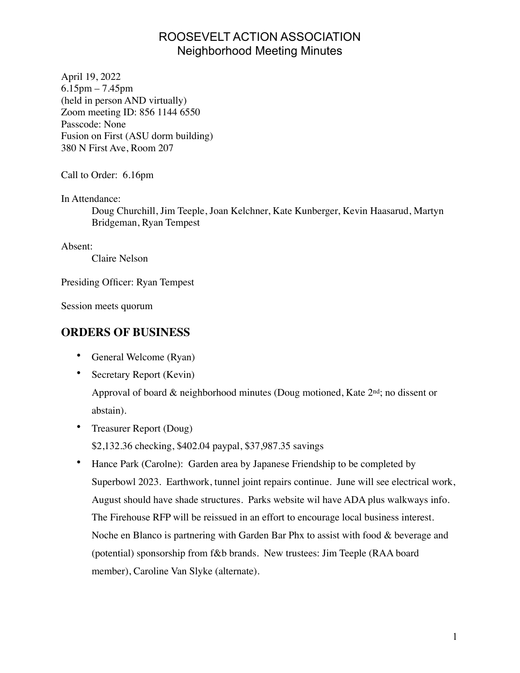## ROOSEVELT ACTION ASSOCIATION Neighborhood Meeting Minutes

April 19, 2022 6.15pm – 7.45pm (held in person AND virtually) Zoom meeting ID: 856 1144 6550 Passcode: None Fusion on First (ASU dorm building) 380 N First Ave, Room 207

Call to Order: 6.16pm

In Attendance:

Doug Churchill, Jim Teeple, Joan Kelchner, Kate Kunberger, Kevin Haasarud, Martyn Bridgeman, Ryan Tempest

Absent:

Claire Nelson

Presiding Officer: Ryan Tempest

Session meets quorum

## **ORDERS OF BUSINESS**

- General Welcome (Ryan)
- Secretary Report (Kevin)

Approval of board  $\&$  neighborhood minutes (Doug motioned, Kate  $2<sup>nd</sup>$ ; no dissent or abstain).

• Treasurer Report (Doug)

\$2,132.36 checking, \$402.04 paypal, \$37,987.35 savings

• Hance Park (Carolne): Garden area by Japanese Friendship to be completed by Superbowl 2023. Earthwork, tunnel joint repairs continue. June will see electrical work, August should have shade structures. Parks website wil have ADA plus walkways info. The Firehouse RFP will be reissued in an effort to encourage local business interest. Noche en Blanco is partnering with Garden Bar Phx to assist with food & beverage and (potential) sponsorship from f&b brands. New trustees: Jim Teeple (RAA board member), Caroline Van Slyke (alternate).